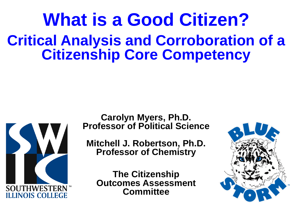## **What is a Good Citizen? Critical Analysis and Corroboration of a Citizenship Core Competency**



**Carolyn Myers, Ph.D. Professor of Political Science**

**Mitchell J. Robertson, Ph.D. Professor of Chemistry**

**The Citizenship Outcomes Assessment Committee**

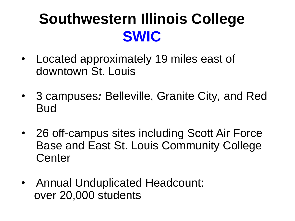## **Southwestern Illinois College SWIC**

- Located approximately 19 miles east of downtown St. Louis
- 3 campuses*:* Belleville, Granite City*,* and Red Bud
- 26 off-campus sites including Scott Air Force Base and East St. Louis Community College **Center**
- Annual Unduplicated Headcount: over 20,000 students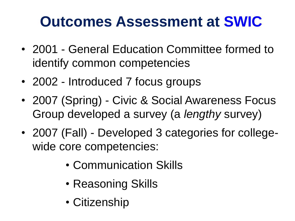## **Outcomes Assessment at SWIC**

- 2001 General Education Committee formed to identify common competencies
- 2002 Introduced 7 focus groups
- 2007 (Spring) Civic & Social Awareness Focus Group developed a survey (a *lengthy* survey)
- 2007 (Fall) Developed 3 categories for collegewide core competencies:
	- Communication Skills
	- Reasoning Skills
	- Citizenship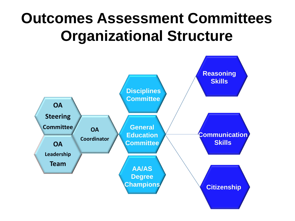### **Outcomes Assessment Committees Organizational Structure**

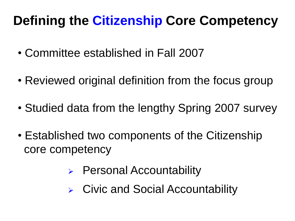#### **Defining the Citizenship Core Competency**

- Committee established in Fall 2007
- Reviewed original definition from the focus group
- Studied data from the lengthy Spring 2007 survey
- Established two components of the Citizenship core competency
	- ▶ Personal Accountability
	- Civic and Social Accountability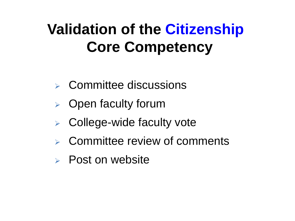## **Validation of the Citizenship Core Competency**

- $\triangleright$  Committee discussions
- $\triangleright$  Open faculty forum
- $\triangleright$  College-wide faculty vote
- Committee review of comments
- $\triangleright$  Post on website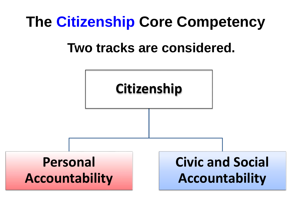#### **The Citizenship Core Competency**

#### **Two tracks are considered.**

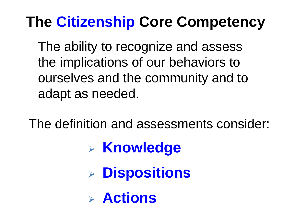### **The Citizenship Core Competency**

The ability to recognize and assess the implications of our behaviors to ourselves and the community and to adapt as needed.

The definition and assessments consider:

- **Knowledge**
- **Dispositions**
- **Actions**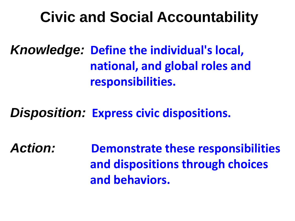#### **Civic and Social Accountability**

*Knowledge:* **Define the individual's local, national, and global roles and responsibilities.**

*Disposition:* **Express civic dispositions.**

*Action:* **Demonstrate these responsibilities and dispositions through choices and behaviors.**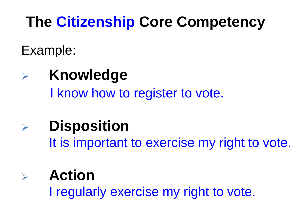## **The Citizenship Core Competency**

Example:

## **Knowledge**

I know how to register to vote.

## **Disposition**

It is important to exercise my right to vote.

#### **Action** I regularly exercise my right to vote.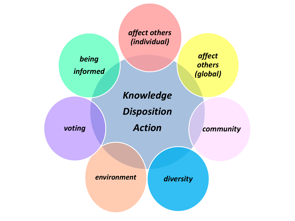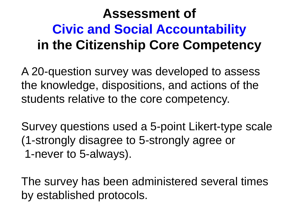#### **Assessment of Civic and Social Accountability in the Citizenship Core Competency**

A 20-question survey was developed to assess the knowledge, dispositions, and actions of the students relative to the core competency.

Survey questions used a 5-point Likert-type scale (1-strongly disagree to 5-strongly agree or 1-never to 5-always).

The survey has been administered several times by established protocols.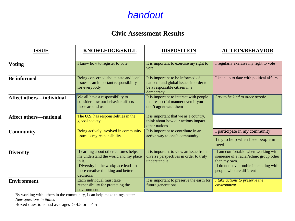#### *handout*

#### **Civic Assessment Results**

| <b>ISSUE</b>                    | KNOWLEDGE/SKILL                                                                                                                                                                  | <b>DISPOSITION</b>                                                                                                        | <b>ACTION/BEHAVIOR</b>                                                                                                                                               |
|---------------------------------|----------------------------------------------------------------------------------------------------------------------------------------------------------------------------------|---------------------------------------------------------------------------------------------------------------------------|----------------------------------------------------------------------------------------------------------------------------------------------------------------------|
|                                 |                                                                                                                                                                                  |                                                                                                                           |                                                                                                                                                                      |
| <b>Voting</b>                   | I know how to register to vote                                                                                                                                                   | It is important to exercise my right to<br>vote                                                                           | I regularly exercise my right to vote                                                                                                                                |
| <b>Be informed</b>              | Being concerned about state and local<br>issues is an important responsibility<br>for everybody                                                                                  | It is important to be informed of<br>national and global issues in order to<br>be a responsible citizen in a<br>democracy | I keep up to date with political affairs.                                                                                                                            |
| <b>Affect others—individual</b> | We all have a responsibility to<br>consider how our behavior affects<br>those around us                                                                                          | It is important to interact with people<br>in a respectful manner even if you<br>don't agree with them                    | I try to be kind to other people.                                                                                                                                    |
| <b>Affect others-national</b>   | The U.S. has responsibilities in the<br>global society                                                                                                                           | It is important that we as a country,<br>think about how our actions impact<br>other nations                              |                                                                                                                                                                      |
| <b>Community</b>                | Being actively involved in community<br>issues is my responsibility                                                                                                              | It is important to contribute in an<br>active way to one's community.                                                     | I participate in my community                                                                                                                                        |
|                                 |                                                                                                                                                                                  |                                                                                                                           | I try to help when I see people in<br>need.                                                                                                                          |
| <b>Diversity</b>                | -Learning about other cultures helps<br>me understand the world and my place<br>in it.<br>-Diversity in the workplace leads to<br>more creative thinking and better<br>decisions | It is important to view an issue from<br>diverse perspectives in order to truly<br>understand it                          | -I am comfortable when working with<br>someone of a racial/ethnic group other<br>than my own.<br>-I do not have trouble interacting with<br>people who are different |
| <b>Environment</b>              | Each individual must take<br>responsibility for protecting the<br>environment                                                                                                    | It is important to preserve the earth for<br>future generations                                                           | I take actions to preserve the<br>environment                                                                                                                        |

By working with others in the community, I can help make things better

*New questions in italics*

Boxed questions had averages  $> 4.5$  or  $= 4.5$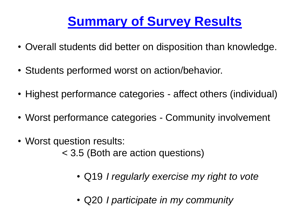#### **Summary of Survey Results**

- Overall students did better on disposition than knowledge.
- Students performed worst on action/behavior.
- Highest performance categories affect others (individual)
- Worst performance categories Community involvement
- Worst question results: < 3.5 (Both are action questions)
	- Q19 *I regularly exercise my right to vote*
	- Q20 *I participate in my community*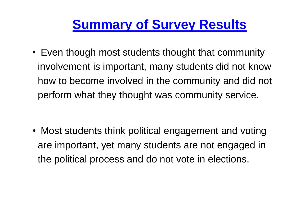#### **Summary of Survey Results**

• Even though most students thought that community involvement is important, many students did not know how to become involved in the community and did not perform what they thought was community service.

• Most students think political engagement and voting are important, yet many students are not engaged in the political process and do not vote in elections.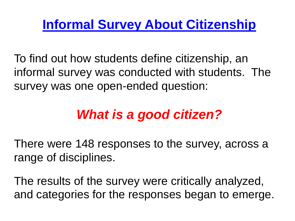#### **Informal Survey About Citizenship**

To find out how students define citizenship, an informal survey was conducted with students. The survey was one open-ended question:

#### *What is a good citizen?*

There were 148 responses to the survey, across a range of disciplines.

The results of the survey were critically analyzed, and categories for the responses began to emerge.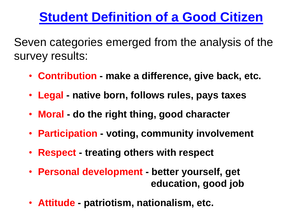#### **Student Definition of a Good Citizen**

Seven categories emerged from the analysis of the survey results:

- **Contribution - make a difference, give back, etc.**
- **Legal - native born, follows rules, pays taxes**
- **Moral - do the right thing, good character**
- **Participation - voting, community involvement**
- **Respect - treating others with respect**
- **Personal development - better yourself, get education, good job**
- **Attitude - patriotism, nationalism, etc.**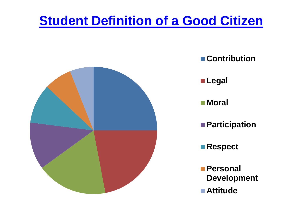#### **Student Definition of a Good Citizen**



- **Contribution**
- **Legal**
- **Moral**
- **Participation**
- **Respect**
- **Personal Development**
- **Attitude**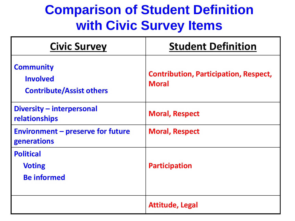#### **Comparison of Student Definition with Civic Survey Items**

| <b>Civic Survey</b>                                                    | <b>Student Definition</b>                                    |  |
|------------------------------------------------------------------------|--------------------------------------------------------------|--|
| <b>Community</b><br><b>Involved</b><br><b>Contribute/Assist others</b> | <b>Contribution, Participation, Respect,</b><br><b>Moral</b> |  |
| <b>Diversity - interpersonal</b><br>relationships                      | <b>Moral, Respect</b>                                        |  |
| <b>Environment - preserve for future</b><br>generations                | <b>Moral, Respect</b>                                        |  |
| <b>Political</b><br><b>Voting</b><br><b>Be informed</b>                | <b>Participation</b>                                         |  |
|                                                                        | <b>Attitude, Legal</b>                                       |  |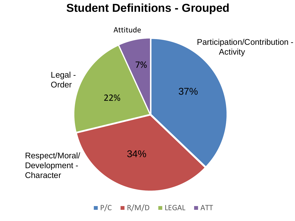#### **Student Definitions - Grouped**

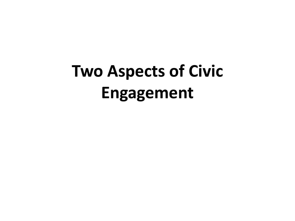# **Two Aspects of Civic Engagement**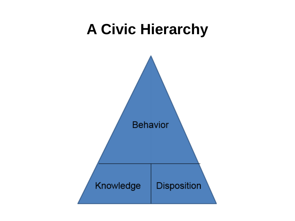#### **A Civic Hierarchy**

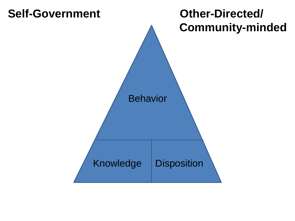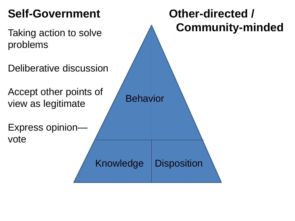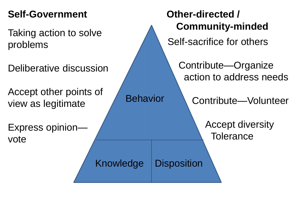problems

Deliberative discussion

Accept other points of view as legitimate

Express opinion vote

**Self-Government Other-directed / Community-minded** Taking action to solve Self-sacrifice for others Contribute—Organize action to address needs Contribute—Volunteer Accept diversity **Tolerance** Behavior Knowledge | Disposition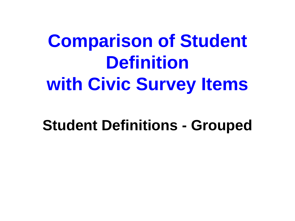# **Comparison of Student Definition with Civic Survey Items**

#### **Student Definitions - Grouped**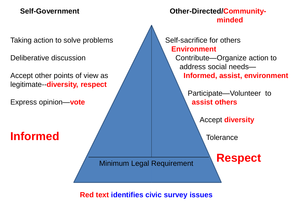Taking action to solve problems

Deliberative discussion

Accept other points of view as legitimate--**diversity, respect**

Express opinion—**vote**

**Informed**

**Self-Government Other-Directed/Communityminded**

> Self-sacrifice for others **Environment**

> > Contribute—Organize action to address social needs— **Informed, assist, environment**

> > > Participate—Volunteer to **assist others**

> > > > Accept **diversity**

**Respect**

**Tolerance** 

Minimum Legal Requirement

**Red text identifies civic survey issues**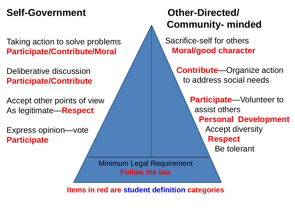#### **Self-Government Other-Directed/**

Taking action to solve problems **Participate/Contribute/Moral**

Deliberative discussion **Participate/Contribute**

Accept other points of view As legitimate—**Respect**

Express opinion—vote **Participate**

# **Community- minded**

Sacrifice-self for others **Moral/good character**

> **Contribute**—Organize action to address social needs

> > **Participate**—Volunteer to assist others **Personal Development** Accept diversity **Respect** Be tolerant

Minimum Legal Requirement **Follow the law**

**Items in red are student definition categories**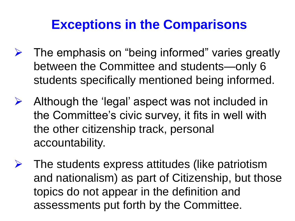#### **Exceptions in the Comparisons**

- $\triangleright$  The emphasis on "being informed" varies greatly between the Committee and students—only 6 students specifically mentioned being informed.
- $\triangleright$  Although the 'legal' aspect was not included in the Committee's civic survey, it fits in well with the other citizenship track, personal accountability.
- $\triangleright$  The students express attitudes (like patriotism and nationalism) as part of Citizenship, but those topics do not appear in the definition and assessments put forth by the Committee.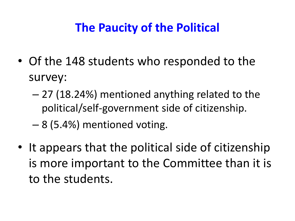#### **The Paucity of the Political**

- Of the 148 students who responded to the survey:
	- 27 (18.24%) mentioned anything related to the political/self-government side of citizenship.
	- 8 (5.4%) mentioned voting.
- It appears that the political side of citizenship is more important to the Committee than it is to the students.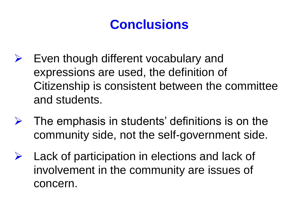#### **Conclusions**

- $\triangleright$  Even though different vocabulary and expressions are used, the definition of Citizenship is consistent between the committee and students.
- $\triangleright$  The emphasis in students' definitions is on the community side, not the self-government side.
- $\triangleright$  Lack of participation in elections and lack of involvement in the community are issues of concern.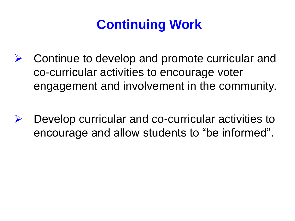#### **Continuing Work**

- Continue to develop and promote curricular and co-curricular activities to encourage voter engagement and involvement in the community.
- $\triangleright$  Develop curricular and co-curricular activities to encourage and allow students to "be informed".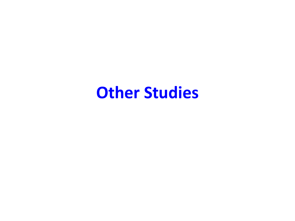#### **Other Studies**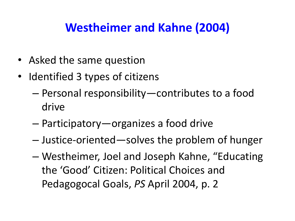#### **Westheimer and Kahne (2004)**

- Asked the same question
- Identified 3 types of citizens
	- Personal responsibility—contributes to a food drive
	- Participatory—organizes a food drive
	- Justice-oriented—solves the problem of hunger
	- Westheimer, Joel and Joseph Kahne, "Educating the 'Good' Citizen: Political Choices and Pedagogocal Goals, *PS* April 2004, p. 2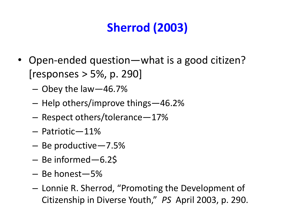#### **Sherrod (2003)**

- Open-ended question—what is a good citizen? [responses > 5%, p. 290]
	- Obey the law—46.7%
	- Help others/improve things—46.2%
	- Respect others/tolerance—17%
	- Patriotic—11%
	- Be productive—7.5%
	- Be informed—6.2\$
	- Be honest—5%
	- Lonnie R. Sherrod, "Promoting the Development of Citizenship in Diverse Youth," *PS* April 2003, p. 290.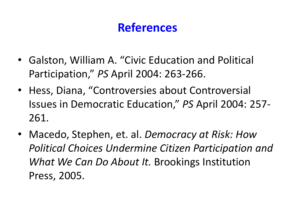#### **References**

- Galston, William A. "Civic Education and Political Participation," *PS* April 2004: 263-266.
- Hess, Diana, "Controversies about Controversial Issues in Democratic Education," *PS* April 2004: 257- 261.
- Macedo, Stephen, et. al. *Democracy at Risk: How Political Choices Undermine Citizen Participation and What We Can Do About It.* Brookings Institution Press, 2005.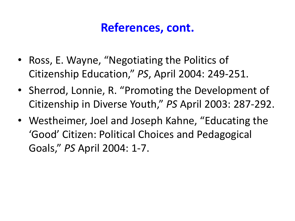#### **References, cont.**

- Ross, E. Wayne, "Negotiating the Politics of Citizenship Education," *PS*, April 2004: 249-251.
- Sherrod, Lonnie, R. "Promoting the Development of Citizenship in Diverse Youth," *PS* April 2003: 287-292.
- Westheimer, Joel and Joseph Kahne, "Educating the 'Good' Citizen: Political Choices and Pedagogical Goals," *PS* April 2004: 1-7.